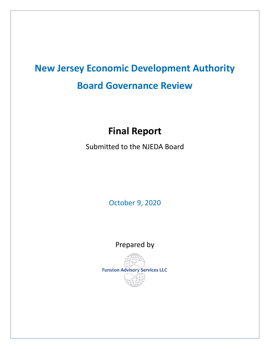# **New Jersey Economic Development Authority Board Governance Review**

# **Final Report**

Submitted to the NJEDA Board

October 9, 2020

Prepared by

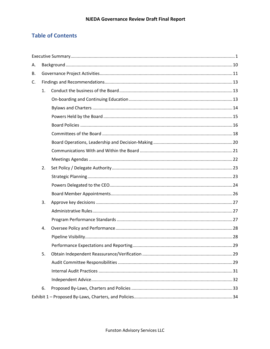# **Table of Contents**

| А. |    |  |  |  |
|----|----|--|--|--|
| В. |    |  |  |  |
| C. |    |  |  |  |
|    | 1. |  |  |  |
|    |    |  |  |  |
|    |    |  |  |  |
|    |    |  |  |  |
|    |    |  |  |  |
|    |    |  |  |  |
|    |    |  |  |  |
|    |    |  |  |  |
|    |    |  |  |  |
|    | 2. |  |  |  |
|    |    |  |  |  |
|    |    |  |  |  |
|    |    |  |  |  |
|    | 3. |  |  |  |
|    |    |  |  |  |
|    |    |  |  |  |
|    | 4. |  |  |  |
|    |    |  |  |  |
|    |    |  |  |  |
|    | 5. |  |  |  |
|    |    |  |  |  |
|    |    |  |  |  |
|    |    |  |  |  |
|    | 6. |  |  |  |
|    |    |  |  |  |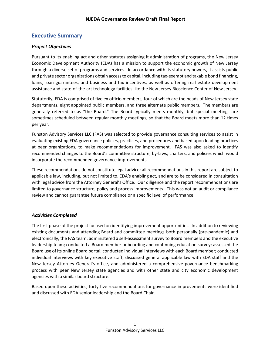# <span id="page-2-0"></span>**Executive Summary**

#### *Project Objectives*

Pursuant to its enabling act and other statutes assigning it administration of programs, the New Jersey Economic Development Authority (EDA) has a mission to support the economic growth of New Jersey through a diverse set of programs and services. In accordance with its statutory powers, it assists public and private sector organizations obtain access to capital, including tax-exempt and taxable bond financing, loans, loan guarantees, and business and tax incentives, as well as offering real estate development assistance and state-of-the-art technology facilities like the New Jersey Bioscience Center of New Jersey.

Statutorily, EDA is comprised of five ex officio members, four of which are the heads of New Jersey state departments, eight appointed public members, and three alternate public members. The members are generally referred to as "the Board." The Board typically meets monthly, but special meetings are sometimes scheduled between regular monthly meetings, so that the Board meets more than 12 times per year.

Funston Advisory Services LLC (FAS) was selected to provide governance consulting services to assist in evaluating existing EDA governance policies, practices, and procedures and based upon leading practices at peer organizations, to make recommendations for improvement. FAS was also asked to identify recommended changes to the Board's committee structure, by-laws, charters, and policies which would incorporate the recommended governance improvements.

These recommendations do not constitute legal advice; all recommendations in this report are subject to applicable law, including, but not limited to, EDA's enabling act, and are to be considered in consultation with legal advice from the Attorney General's Office. Our diligence and the report recommendations are limited to governance structure, policy and process improvements. This was not an audit or compliance review and cannot guarantee future compliance or a specific level of performance.

#### *Activities Completed*

The first phase of the project focused on identifying improvement opportunities. In addition to reviewing existing documents and attending Board and committee meetings both personally (pre-pandemic) and electronically, the FAS team: administered a self-assessment survey to Board members and the executive leadership team; conducted a Board member onboarding and continuing education survey; assessed the Board use of its online Board portal; conducted individual interviews with each Board member; conducted individual interviews with key executive staff; discussed general applicable law with EDA staff and the New Jersey Attorney General's office, and administered a comprehensive governance benchmarking process with peer New Jersey state agencies and with other state and city economic development agencies with a similar board structure.

Based upon these activities, forty-five recommendations for governance improvements were identified and discussed with EDA senior leadership and the Board Chair.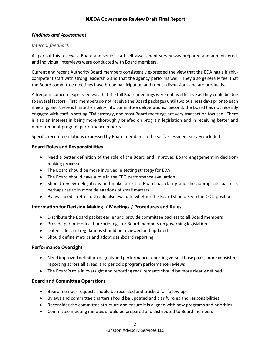#### *Findings and Assessment*

#### *Internal feedback*

As part of this review, a Board and senior staff self-assessment survey was prepared and administered, and individual interviews were conducted with Board members.

Current and recent Authority Board members consistently expressed the view that the EDA has a highlycompetent staff with strong leadership and that the agency performs well. They also generally feel that the Board committee meetings have broad participation and robust discussions and are productive.

A frequent concern expressed was that the full Board meetings were not as effective as they could be due to several factors. First, members do not receive the Board packages until two business days prior to each meeting, and there is limited visibility into committee deliberations. Second, the Board has not recently engaged with staff in setting EDA strategy, and most Board meetings are very transaction focused. There is also an interest in being more thoroughly briefed on program legislation and in receiving better and more frequent program performance reports.

Specific recommendations expressed by Board members in the self-assessment survey included:

#### **Board Roles and Responsibilities**

- Need a better definition of the role of the Board and improved Board engagement in decisionmaking processes
- The Board should be more involved in setting strategy for EDA
- The Board should have a role in the CEO performance evaluation
- Should review delegations and make sure the Board has clarity and the appropriate balance, perhaps result in more delegations of small matters
- Bylaws need a refresh; should also evaluate whether the Board should keep the COO position

#### **Information for Decision Making / Meetings / Procedures and Rules**

- Distribute the Board packet earlier and provide committee packets to all Board members
- Provide periodic education/briefings for Board members on governing legislation
- Dated rules and regulations should be reviewed and updated
- Should define metrics and adopt dashboard reporting

#### **Performance Oversight**

- Need improved definition of goals and performance reporting versus those goals; more consistent reporting across all areas; and periodic program performance reviews
- The Board's role in oversight and reporting requirements should be more clearly defined

#### **Board and Committee Operations**

- Board member requests should be recorded and tracked for follow up
- Bylaws and committee charters should be updated and clarify roles and responsibilities
- Reconsider the committee structure and ensure it is aligned with new programs and priorities
- Committee meeting minutes should be prepared and distributed to Board members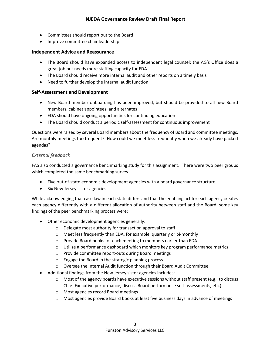- Committees should report out to the Board
- Improve committee chair leadership

#### **Independent Advice and Reassurance**

- The Board should have expanded access to independent legal counsel; the AG's Office does a great job but needs more staffing capacity for EDA
- The Board should receive more internal audit and other reports on a timely basis
- Need to further develop the internal audit function

#### **Self-Assessment and Development**

- New Board member onboarding has been improved, but should be provided to all new Board members, cabinet appointees, and alternates
- EDA should have ongoing opportunities for continuing education
- The Board should conduct a periodic self-assessment for continuous improvement

Questions were raised by several Board members about the frequency of Board and committee meetings. Are monthly meetings too frequent? How could we meet less frequently when we already have packed agendas?

#### *External feedback*

FAS also conducted a governance benchmarking study for this assignment. There were two peer groups which completed the same benchmarking survey:

- Five out-of-state economic development agencies with a board governance structure
- Six New Jersey sister agencies

While acknowledging that case law in each state differs and that the enabling act for each agency creates each agency differently with a different allocation of authority between staff and the Board, some key findings of the peer benchmarking process were:

- Other economic development agencies generally:
	- o Delegate most authority for transaction approval to staff
	- o Meet less frequently than EDA, for example, quarterly or bi-monthly
	- o Provide Board books for each meeting to members earlier than EDA
	- $\circ$  Utilize a performance dashboard which monitors key program performance metrics
	- o Provide committee report-outs during Board meetings
	- o Engage the Board in the strategic planning process
	- o Oversee the Internal Audit function through their Board Audit Committee
- Additional findings from the New Jersey sister agencies includes:
	- $\circ$  Most of the agency boards have executive sessions without staff present (e.g., to discuss Chief Executive performance, discuss Board performance self-assessments, etc.)
	- o Most agencies record Board meetings
	- $\circ$  Most agencies provide Board books at least five business days in advance of meetings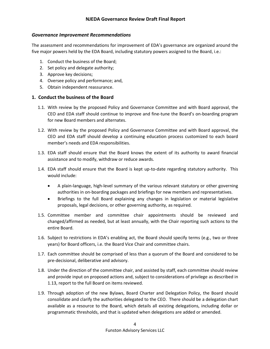#### *Governance Improvement Recommendations*

The assessment and recommendations for improvement of EDA's governance are organized around the five major powers held by the EDA Board, including statutory powers assigned to the Board, i.e.:

- 1. Conduct the business of the Board;
- 2. Set policy and delegate authority;
- 3. Approve key decisions;
- 4. Oversee policy and performance; and,
- 5. Obtain independent reassurance.

#### **1. Conduct the business of the Board**

- 1.1. With review by the proposed Policy and Governance Committee and with Board approval, the CEO and EDA staff should continue to improve and fine-tune the Board's on-boarding program for new Board members and alternates.
- 1.2. With review by the proposed Policy and Governance Committee and with Board approval, the CEO and EDA staff should develop a continuing education process customized to each board member's needs and EDA responsibilities.
- 1.3. EDA staff should ensure that the Board knows the extent of its authority to award financial assistance and to modify, withdraw or reduce awards.
- 1.4. EDA staff should ensure that the Board is kept up-to-date regarding statutory authority. This would include:
	- A plain-language, high-level summary of the various relevant statutory or other governing authorities in on-boarding packages and briefings for new members and representatives.
	- Briefings to the full Board explaining any changes in legislation or material legislative proposals, legal decisions, or other governing authority, as required.
- 1.5. Committee member and committee chair appointments should be reviewed and changed/affirmed as needed, but at least annually, with the Chair reporting such actions to the entire Board.
- 1.6. Subject to restrictions in EDA's enabling act, the Board should specify terms (e.g., two or three years) for Board officers, i.e. the Board Vice Chair and committee chairs.
- 1.7. Each committee should be comprised of less than a quorum of the Board and considered to be pre-decisional, deliberative and advisory.
- 1.8. Under the direction of the committee chair, and assisted by staff, each committee should review and provide input on proposed actions and, subject to considerations of privilege as described in 1.13, report to the full Board on items reviewed.
- 1.9. Through adoption of the new Bylaws, Board Charter and Delegation Policy, the Board should consolidate and clarify the authorities delegated to the CEO. There should be a delegation chart available as a resource to the Board, which details all existing delegations, including dollar or programmatic thresholds, and that is updated when delegations are added or amended.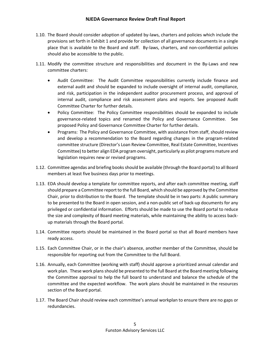- 1.10. The Board should consider adoption of updated by-laws, charters and policies which include the provisions set forth in Exhibit 1 and provide for collection of all governance documents in a single place that is available to the Board and staff. By-laws, charters, and non-confidential policies should also be accessible to the public.
- 1.11. Modify the committee structure and responsibilities and document in the By-Laws and new committee charters:
	- Audit Committee: The Audit Committee responsibilities currently include finance and external audit and should be expanded to include oversight of internal audit, compliance, and risk, participation in the independent auditor procurement process, and approval of internal audit, compliance and risk assessment plans and reports. See proposed Audit Committee Charter for further details.
	- Policy Committee: The Policy Committee responsibilities should be expanded to include governance-related topics and renamed the Policy and Governance Committee. See proposed Policy and Governance Committee Charter for further details.
	- Programs: The Policy and Governance Committee, with assistance from staff, should review and develop a recommendation to the Board regarding changes in the program-related committee structure (Director's Loan Review Committee, Real Estate Committee, Incentives Committee) to better align EDA program oversight, particularly as pilot programs mature and legislation requires new or revised programs.
- 1.12. Committee agendas and briefing books should be available (through the Board portal) to all Board members at least five business days prior to meetings.
- 1.13. EDA should develop a template for committee reports, and after each committee meeting, staff should prepare a Committee report to the full Board, which should be approved by the Committee Chair, prior to distribution to the Board. The template should be in two parts: A public summary to be presented to the Board in open session, and a non-public set of back-up documents for any privileged or confidential information. Efforts should be made to use the Board portal to reduce the size and complexity of Board meeting materials, while maintaining the ability to access backup materials through the Board portal.
- 1.14. Committee reports should be maintained in the Board portal so that all Board members have ready access.
- 1.15. Each Committee Chair, or in the chair's absence, another member of the Committee, should be responsible for reporting out from the Committee to the full Board.
- 1.16. Annually, each Committee (working with staff) should approve a prioritized annual calendar and work plan. These work plans should be presented to the full Board at the Board meeting following the Committee approval to help the full board to understand and balance the schedule of the committee and the expected workflow. The work plans should be maintained in the resources section of the Board portal.
- 1.17. The Board Chair should review each committee's annual workplan to ensure there are no gaps or redundancies.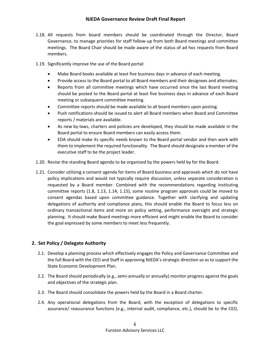- 1.18. All requests from board members should be coordinated through the Director, Board Governance, to manage priorities for staff follow-up from both Board meetings and committee meetings. The Board Chair should be made aware of the status of ad hoc requests from Board members.
- 1.19. Significantly improve the use of the Board portal:
	- Make Board books available at least five business days in advance of each meeting.
	- Provide access to the Board portal to all Board members and their designees and alternates.
	- Reports from all committee meetings which have occurred since the last Board meeting should be posted to the Board portal at least five business days in advance of each Board meeting or subsequent committee meeting.
	- Committee reports should be made available to all board members upon posting.
	- Push notifications should be issued to alert all Board members when Board and Committee reports / materials are available.
	- As new by-laws, charters and policies are developed, they should be made available in the Board portal to ensure Board members can easily access them.
	- EDA should make its specific needs known to the Board portal vendor and then work with them to implement the required functionality. The Board should designate a member of the executive staff to be the project leader.
- 1.20. Revise the standing Board agenda to be organized by the powers held by for the Board.
- 1.21. Consider utilizing a consent agenda for items of Board business and approvals which do not have policy implications and would not typically require discussion, unless separate consideration is requested by a Board member. Combined with the recommendations regarding instituting committee reports (1.8, 1.13, 1.14, 1.15), some routine program approvals could be moved to consent agendas based upon committee guidance. Together with clarifying and updating delegations of authority and compliance plans, this should enable the Board to focus less on ordinary transactional items and more on policy setting, performance oversight and strategic planning. It should make Board meetings more efficient and might enable the Board to consider the goal expressed by some members to meet less frequently.

#### **2. Set Policy / Delegate Authority**

- 2.1. Develop a planning process which effectively engages the Policy and Governance Committee and the full Board with the CEO and Staff in approving NJEDA's strategic direction so as to support the State Economic Development Plan.
- 2.2. The Board should periodically (e.g., semi-annually or annually) monitor progress against the goals and objectives of the strategic plan.
- 2.3. The Board should consolidate the powers held by the Board in a Board charter.
- 2.4. Any operational delegations from the Board, with the exception of delegations to specific assurance/ reassurance functions (e.g., internal audit, compliance, etc.), should be to the CEO,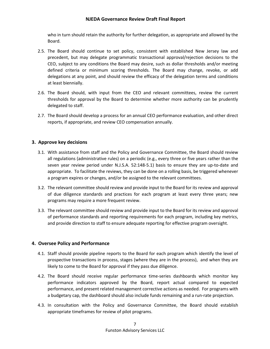who in turn should retain the authority for further delegation, as appropriate and allowed by the Board.

- 2.5. The Board should continue to set policy, consistent with established New Jersey law and precedent, but may delegate programmatic transactional approval/rejection decisions to the CEO, subject to any conditions the Board may desire, such as dollar thresholds and/or meeting defined criteria or minimum scoring thresholds. The Board may change, revoke, or add delegations at any point, and should review the efficacy of the delegation terms and conditions at least biennially.
- 2.6. The Board should, with input from the CEO and relevant committees, review the current thresholds for approval by the Board to determine whether more authority can be prudently delegated to staff.
- 2.7. The Board should develop a process for an annual CEO performance evaluation, and other direct reports, if appropriate, and review CEO compensation annually.

#### **3. Approve key decisions**

- 3.1. With assistance from staff and the Policy and Governance Committee, the Board should review all regulations (administrative rules) on a periodic (e.g., every three or five years rather than the seven year review period under N.J.S.A. 52:148-5.1) basis to ensure they are up-to-date and appropriate. To facilitate the reviews, they can be done on a rolling basis, be triggered whenever a program expires or changes, and/or be assigned to the relevant committees.
- 3.2. The relevant committee should review and provide input to the Board for its review and approval of due diligence standards and practices for each program at least every three years; new programs may require a more frequent review.
- 3.3. The relevant committee should review and provide input to the Board for its review and approval of performance standards and reporting requirements for each program, including key metrics, and provide direction to staff to ensure adequate reporting for effective program oversight.

#### **4. Oversee Policy and Performance**

- 4.1. Staff should provide pipeline reports to the Board for each program which identify the level of prospective transactions in process, stages (where they are in the process), and when they are likely to come to the Board for approval if they pass due diligence.
- 4.2. The Board should receive regular performance time-series dashboards which monitor key performance indicators approved by the Board, report actual compared to expected performance, and present related management corrective actions as needed. For programs with a budgetary cap, the dashboard should also include funds remaining and a run-rate projection.
- 4.3. In consultation with the Policy and Governance Committee, the Board should establish appropriate timeframes for review of pilot programs.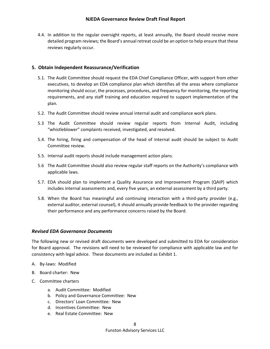4.4. In addition to the regular oversight reports, at least annually, the Board should receive more detailed program reviews; the Board's annual retreat could be an option to help ensure that these reviews regularly occur.

#### **5. Obtain Independent Reassurance/Verification**

- 5.1. The Audit Committee should request the EDA Chief Compliance Officer, with support from other executives, to develop an EDA compliance plan which identifies all the areas where compliance monitoring should occur, the processes, procedures, and frequency for monitoring, the reporting requirements, and any staff training and education required to support implementation of the plan.
- 5.2. The Audit Committee should review annual internal audit and compliance work plans.
- 5.3 The Audit Committee should review regular reports from Internal Audit, including "whistleblower" complaints received, investigated, and resolved.
- 5.4. The hiring, firing and compensation of the head of internal audit should be subject to Audit Committee review.
- 5.5. Internal audit reports should include management action plans.
- 5.6 The Audit Committee should also review regular staff reports on the Authority's compliance with applicable laws.
- 5.7. EDA should plan to implement a Quality Assurance and Improvement Program (QAIP) which includes internal assessments and, every five years, an external assessment by a third party.
- 5.8. When the Board has meaningful and continuing interaction with a third-party provider (e.g., external auditor, external counsel), it should annually provide feedback to the provider regarding their performance and any performance concerns raised by the Board.

#### *Revised EDA Governance Documents*

The following new or revised draft documents were developed and submitted to EDA for consideration for Board approval. The revisions will need to be reviewed for compliance with applicable law and for consistency with legal advice. These documents are included as Exhibit 1.

- A. By-laws: Modified
- B. Board charter: New
- C. Committee charters
	- a. Audit Committee: Modified
	- b. Policy and Governance Committee: New
	- c. Directors' Loan Committee: New
	- d. Incentives Committee: New
	- e. Real Estate Committee: New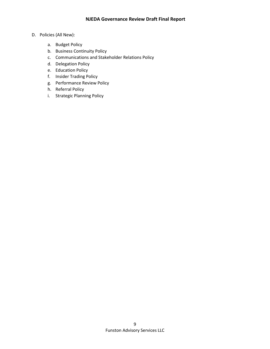#### D. Policies (All New):

- a. Budget Policy
- b. Business Continuity Policy
- c. Communications and Stakeholder Relations Policy
- d. Delegation Policy
- e. Education Policy
- f. Insider Trading Policy
- g. Performance Review Policy
- h. Referral Policy
- i. Strategic Planning Policy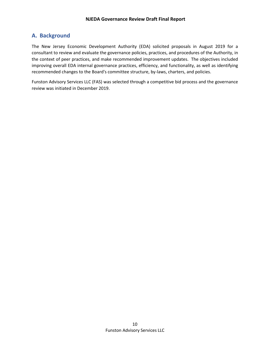# <span id="page-11-0"></span>**A. Background**

The New Jersey Economic Development Authority (EDA) solicited proposals in August 2019 for a consultant to review and evaluate the governance policies, practices, and procedures of the Authority, in the context of peer practices, and make recommended improvement updates. The objectives included improving overall EDA internal governance practices, efficiency, and functionality, as well as identifying recommended changes to the Board's committee structure, by-laws, charters, and policies.

Funston Advisory Services LLC (FAS) was selected through a competitive bid process and the governance review was initiated in December 2019.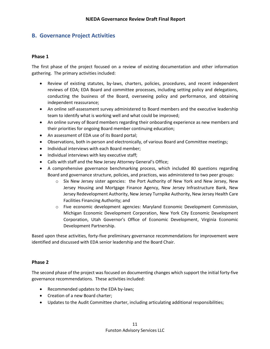## <span id="page-12-0"></span>**B. Governance Project Activities**

#### **Phase 1**

The first phase of the project focused on a review of existing documentation and other information gathering. The primary activities included:

- Review of existing statutes, by-laws, charters, policies, procedures, and recent independent reviews of EDA; EDA Board and committee processes, including setting policy and delegations, conducting the business of the Board, overseeing policy and performance, and obtaining independent reassurance;
- An online self-assessment survey administered to Board members and the executive leadership team to identify what is working well and what could be improved;
- An online survey of Board members regarding their onboarding experience as new members and their priorities for ongoing Board member continuing education;
- An assessment of EDA use of its Board portal;
- Observations, both in-person and electronically, of various Board and Committee meetings;
- Individual interviews with each Board member;
- Individual interviews with key executive staff;
- Calls with staff and the New Jersey Attorney General's Office;
- A comprehensive governance benchmarking process, which included 80 questions regarding Board and governance structure, policies, and practices, was administered to two peer groups:
	- o Six New Jersey sister agencies: the Port Authority of New York and New Jersey, New Jersey Housing and Mortgage Finance Agency, New Jersey Infrastructure Bank, New Jersey Redevelopment Authority, New Jersey Turnpike Authority, New Jersey Health Care Facilities Financing Authority; and
	- o Five economic development agencies: Maryland Economic Development Commission, Michigan Economic Development Corporation, New York City Economic Development Corporation, Utah Governor's Office of Economic Development, Virginia Economic Development Partnership.

Based upon these activities, forty-five preliminary governance recommendations for improvement were identified and discussed with EDA senior leadership and the Board Chair.

#### **Phase 2**

The second phase of the project was focused on documenting changes which support the initial forty-five governance recommendations. These activities included:

- Recommended updates to the EDA by-laws;
- Creation of a new Board charter;
- Updates to the Audit Committee charter, including articulating additional responsibilities;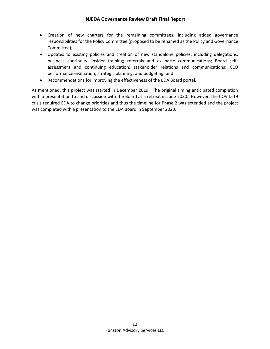- Creation of new charters for the remaining committees, including added governance responsibilities for the Policy Committee (proposed to be renamed as the Policy and Governance Committee);
- Updates to existing policies and creation of new standalone policies, including delegations; business continuity; insider training; referrals and ex parte communications; Board selfassessment and continuing education; stakeholder relations and communications; CEO performance evaluation; strategic planning; and budgeting; and
- Recommendations for improving the effectiveness of the EDA Board portal.

As mentioned, this project was started in December 2019. The original timing anticipated completion with a presentation to and discussion with the Board at a retreat in June 2020. However, the COVID-19 crisis required EDA to change priorities and thus the timeline for Phase 2 was extended and the project was completed with a presentation to the EDA Board in September 2020.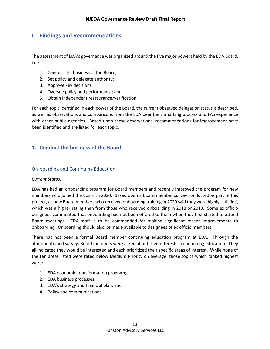# <span id="page-14-0"></span>**C. Findings and Recommendations**

The assessment of EDA's governance was organized around the five major powers held by the EDA Board, i.e.:

- 1. Conduct the business of the Board;
- 2. Set policy and delegate authority;
- 3. Approve key decisions;
- 4. Oversee policy and performance; and,
- 5. Obtain independent reassurance/verification.

For each topic identified in each power of the Board, the current observed delegation status is described, as well as observations and comparisons from the EDA peer benchmarking process and FAS experience with other public agencies. Based upon these observations, recommendations for improvement have been identified and are listed for each topic.

#### <span id="page-14-1"></span>**1. Conduct the business of the Board**

#### <span id="page-14-2"></span>On-boarding and Continuing Education

#### *Current Status:*

EDA has had an onboarding program for Board members and recently improved the program for new members who joined the Board in 2020. Based upon a Board member survey conducted as part of this project, all new Board members who received onboarding training in 2020 said they were highly satisfied, which was a higher rating than from those who received onboarding in 2018 or 2019. Some ex officio designees commented that onboarding had not been offered to them when they first started to attend Board meetings. EDA staff is to be commended for making significant recent improvements to onboarding. Onboarding should also be made available to designees of ex officio members.

There has not been a formal Board member continuing education program at EDA. Through the aforementioned survey, Board members were asked about their interests in continuing education. They all indicated they would be interested and each prioritized their specific areas of interest. While none of the ten areas listed were rated below Medium Priority on average, those topics which ranked highest were:

- 1. EDA economic transformation program;
- 2. EDA business processes;
- 3. EDA's strategy and financial plan; and
- 4. Policy and communications.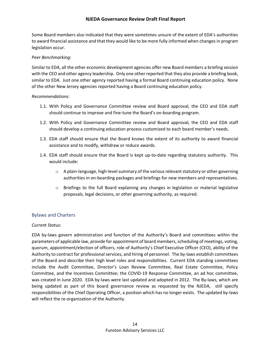Some Board members also indicated that they were sometimes unsure of the extent of EDA's authorities to award financial assistance and that they would like to be more fully informed when changes in program legislation occur.

#### *Peer Benchmarking:*

Similar to EDA, all the other economic development agencies offer new Board members a briefing session with the CEO and other agency leadership. Only one other reported that they also provide a briefing book, similar to EDA. Just one other agency reported having a formal Board continuing education policy. None of the other New Jersey agencies reported having a Board continuing education policy.

#### *Recommendations:*

- 1.1. With Policy and Governance Committee review and Board approval, the CEO and EDA staff should continue to improve and fine-tune the Board's on-boarding program.
- 1.2. With Policy and Governance Committee review and Board approval, the CEO and EDA staff should develop a continuing education process customized to each board member's needs.
- 1.3. EDA staff should ensure that the Board knows the extent of its authority to award financial assistance and to modify, withdraw or reduce awards.
- 1.4. EDA staff should ensure that the Board is kept up-to-date regarding statutory authority. This would include:
	- o A plain-language, high-level summary of the various relevant statutory or other governing authorities in on-boarding packages and briefings for new members and representatives.
	- o Briefings to the full Board explaining any changes in legislation or material legislative proposals, legal decisions, or other governing authority, as required.

#### <span id="page-15-0"></span>Bylaws and Charters

#### *Current Status:*

EDA by-laws govern administration and function of the Authority's Board and committees within the parameters of applicable law, provide for appointment of board members, scheduling of meetings, voting, quorum, appointment/election of officers, role of Authority's Chief Executive Officer (CEO), ability of the Authority to contract for professional services, and hiring of personnel. The by-laws establish committees of the Board and describe their high level roles and responsibilities. Current EDA standing committees include the Audit Committee, Director's Loan Review Committee, Real Estate Committee, Policy Committee, and the Incentives Committee; the COVID-19 Response Committee, an ad hoc committee, was created in June 2020. EDA by-laws were last updated and adopted in 2012. The By-laws, which are being updated as part of this board governance review as requested by the NJEDA, still specify responsibilities of the Chief Operating Officer, a position which has no longer exists. The updated by-laws will reflect the re-organization of the Authority.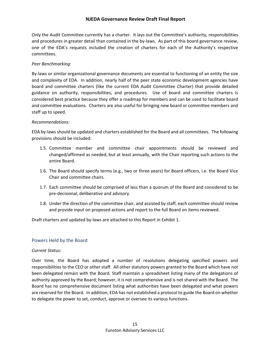Only the Audit Committee currently has a charter. It lays out the Committee's authority, responsibilities and procedures in greater detail than contained in the by-laws. As part of this board governance review, one of the EDA's requests included the creation of charters for each of the Authority's respective committees.

#### *Peer Benchmarking:*

By-laws or similar organizational governance documents are essential to functioning of an entity the size and complexity of EDA. In addition, nearly half of the peer state economic development agencies have board and committee charters (like the current EDA Audit Committee Charter) that provide detailed guidance on authority, responsibilities, and procedures. Use of board and committee charters is considered best practice because they offer a roadmap for members and can be used to facilitate board and committee evaluations. Charters are also useful for bringing new board or committee members and staff up to speed.

#### *Recommendations:*

EDA by-laws should be updated and charters established for the Board and all committees. The following provisions should be included:

- 1.5. Committee member and committee chair appointments should be reviewed and changed/affirmed as needed, but at least annually, with the Chair reporting such actions to the entire Board.
- 1.6. The Board should specify terms (e.g., two or three years) for Board officers, i.e. the Board Vice Chair and committee chairs.
- 1.7. Each committee should be comprised of less than a quorum of the Board and considered to be pre-decisional, deliberative and advisory.
- 1.8. Under the direction of the committee chair, and assisted by staff, each committee should review and provide input on proposed actions and report to the full Board on items reviewed.

Draft charters and updated by-laws are attached to this Report in Exhibit 1.

#### <span id="page-16-0"></span>Powers Held by the Board

#### *Current Status:*

Over time, the Board has adopted a number of resolutions delegating specified powers and responsibilities to the CEO or other staff. All other statutory powers granted to the Board which have not been delegated remain with the Board. Staff maintain a spreadsheet listing many of the delegations of authority approved by the Board; however, it is not comprehensive and is not shared with the Board. The Board has no comprehensive document listing what authorities have been delegated and what powers are reserved for the Board. In addition, EDA has not established a protocol to guide the Board on whether to delegate the power to set, conduct, approve or oversee its various functions.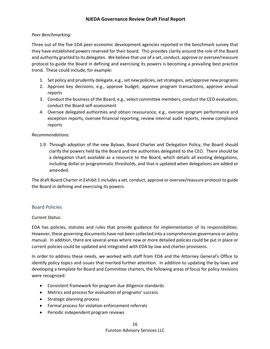#### *Peer Benchmarking:*

Three out of the five EDA peer economic development agencies reported in the benchmark survey that they have established powers reserved for their board. This provides clarity around the role of the Board and authority granted to its delegates. We believe that use of a set, conduct, approve or oversee/reassure protocol to guide the Board in defining and exercising its powers is becoming a prevailing best practice trend. These could include, for example:

- 1. Set policy and prudently delegate, e.g., set new policies, set strategies, set/approve new programs
- 2. Approve key decisions, e.g., approve budget, approve program transactions, approve annual reports
- 3. Conduct the business of the Board, e.g., select committee members, conduct the CEO evaluation, conduct the Board self-assessment
- 4. Oversee delegated authorities and obtain reassurance, e.g., oversee program performance and exception reports, oversee financial reporting, review internal audit reports, review compliance reports

#### *Recommendations:*

1.9. Through adoption of the new Bylaws, Board Charter and Delegation Policy, the Board should clarify the powers held by the Board and the authorities delegated to the CEO. There should be a delegation chart available as a resource to the Board, which details all existing delegations, including dollar or programmatic thresholds, and that is updated when delegations are added or amended.

The draft Board Charter in Exhibit 1 includes a set, conduct, approve or oversee/reassure protocol to guide the Board in defining and exercising its powers.

#### <span id="page-17-0"></span>Board Policies

#### *Current Status:*

EDA has policies, statutes and rules that provide guidance for implementation of its responsibilities. However, these governing documents have not been collected into a comprehensive governance or policy manual. In addition, there are several areas where new or more detailed policies could be put in place or current policies could be updated and integrated with EDA by-law and charter provisions.

In order to address these needs, we worked with staff from EDA and the Attorney General's Office to identify policy topics and issues that merited further attention. In addition to updating the by-laws and developing a template for Board and Committee charters, the following areas of focus for policy revisions were recognized:

- Consistent framework for program due diligence standards
- Metrics and process for evaluation of programs' success
- Strategic planning process
- Formal process for violation enforcement referrals
- Periodic independent program reviews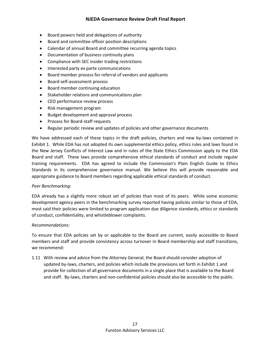- Board powers held and delegations of authority
- Board and committee officer position descriptions
- Calendar of annual Board and committee recurring agenda topics
- Documentation of business continuity plans
- Compliance with SEC insider trading restrictions
- Interested party ex parte communications
- Board member process for referral of vendors and applicants
- Board self-assessment process
- Board member continuing education
- Stakeholder relations and communications plan
- CEO performance review process
- Risk management program
- Budget development and approval process
- Process for Board-staff requests
- Regular periodic review and updates of policies and other governance documents

We have addressed each of these topics in the draft policies, charters and new by-laws contained in Exhibit 1. While EDA has not adopted its own supplemental ethics policy, ethics rules and laws found in the New Jersey Conflicts of Interest Law and in rules of the State Ethics Commission apply to the EDA Board and staff. These laws provide comprehensive ethical standards of conduct and include regular training requirements. EDA has agreed to include the Commission's Plain English Guide to Ethics Standards in its comprehensive governance manual. We believe this will provide reasonable and appropriate guidance to Board members regarding applicable ethical standards of conduct.

#### *Peer Benchmarking:*

EDA already has a slightly more robust set of policies than most of its peers. While some economic development agency peers in the benchmarking survey reported having policies similar to those of EDA, most said their policies were limited to program application due diligence standards, ethics or standards of conduct, confidentiality, and whistleblower complaints.

#### *Recommendations:*

To ensure that EDA policies set by or applicable to the Board are current, easily accessible to Board members and staff and provide consistency across turnover in Board membership and staff transitions, we recommend:

1.11 With review and advice from the Attorney General, the Board should consider adoption of updated by-laws, charters, and policies which include the provisions set forth in Exhibit 1 and provide for collection of all governance documents in a single place that is available to the Board and staff. By-laws, charters and non-confidential policies should also be accessible to the public.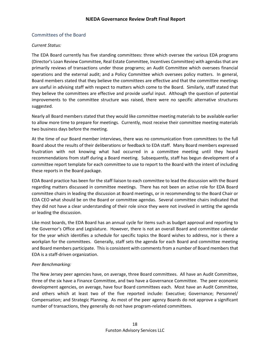#### <span id="page-19-0"></span>Committees of the Board

#### *Current Status:*

The EDA Board currently has five standing committees: three which oversee the various EDA programs (Director's Loan Review Committee, Real Estate Committee, Incentives Committee) with agendas that are primarily reviews of transactions under those programs; an Audit Committee which oversees financial operations and the external audit; and a Policy Committee which oversees policy matters. In general, Board members stated that they believe the committees are effective and that the committee meetings are useful in advising staff with respect to matters which come to the Board. Similarly, staff stated that they believe the committees are effective and provide useful input. Although the question of potential improvements to the committee structure was raised, there were no specific alternative structures suggested.

Nearly all Board members stated that they would like committee meeting materials to be available earlier to allow more time to prepare for meetings. Currently, most receive their committee meeting materials two business days before the meeting.

At the time of our Board member interviews, there was no communication from committees to the full Board about the results of their deliberations or feedback to EDA staff. Many Board members expressed frustration with not knowing what had occurred in a committee meeting until they heard recommendations from staff during a Board meeting. Subsequently, staff has begun development of a committee report template for each committee to use to report to the Board with the intent of including these reports in the Board package.

EDA Board practice has been for the staff liaison to each committee to lead the discussion with the Board regarding matters discussed in committee meetings. There has not been an active role for EDA Board committee chairs in leading the discussion at Board meetings, or in recommending to the Board Chair or EDA CEO what should be on the Board or committee agendas. Several committee chairs indicated that they did not have a clear understanding of their role since they were not involved in setting the agenda or leading the discussion.

Like most boards, the EDA Board has an annual cycle for items such as budget approval and reporting to the Governor's Office and Legislature. However, there is not an overall Board and committee calendar for the year which identifies a schedule for specific topics the Board wishes to address, nor is there a workplan for the committees. Generally, staff sets the agenda for each Board and committee meeting and Board members participate. This is consistent with comments from a number of Board members that EDA is a staff-driven organization.

#### *Peer Benchmarking:*

The New Jersey peer agencies have, on average, three Board committees. All have an Audit Committee, three of the six have a Finance Committee, and two have a Governance Committee. The peer economic development agencies, on average, have four Board committees each. Most have an Audit Committee, and others which at least two of the five reported include: Executive; Governance; Personnel/ Compensation; and Strategic Planning. As most of the peer agency Boards do not approve a significant number of transactions, they generally do not have program-related committees.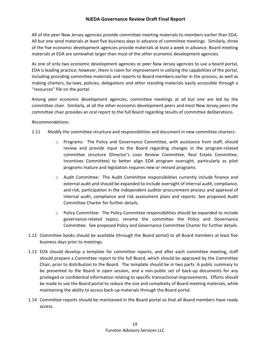All of the peer New Jersey agencies provide committee meeting materials to members earlier than EDA. All but one send materials at least five business days in advance of committee meetings. Similarly, three of the five economic development agencies provide materials at least a week in advance. Board meeting materials at EDA are somewhat larger than most of the other economic development agencies.

As one of only two economic development agencies or peer New Jersey agencies to use a board portal, EDA is leading practice; however, there is room for improvement in utilizing the capabilities of the portal, including providing committee materials and reports to Board members earlier in the process, as well as making charters, by-laws, policies, delegations and other standing materials easily accessible through a "resources" file on the portal.

Among peer economic development agencies, committee meetings at all but one are led by the committee chair. Similarly, at all the other economic development peers and most New Jersey peers the committee chair provides an oral report to the full Board regarding results of committee deliberations.

#### *Recommendations:*

- 1.11 Modify the committee structure and responsibilities and document in new committee charters:
	- $\circ$  Programs: The Policy and Governance Committee, with assistance from staff, should review and provide input to the Board regarding changes in the program-related committee structure (Director's Loan Review Committee, Real Estate Committee, Incentives Committee) to better align EDA program oversight, particularly as pilot programs mature and legislation requires new or revised programs.
	- $\circ$  Audit Committee: The Audit Committee responsibilities currently include finance and external audit and should be expanded to include oversight of internal audit, compliance, and risk, participation in the independent auditor procurement process and approval of internal audit, compliance and risk assessment plans and reports. See proposed Audit Committee Charter for further details.
	- $\circ$  Policy Committee: The Policy Committee responsibilities should be expanded to include governance-related topics; rename the committee the Policy and Governance Committee. See proposed Policy and Governance Committee Charter for further details.
- 1.12 Committee books should be available (through the Board portal) to all Board members at least five business days prior to meetings.
- 1.13 EDA should develop a template for committee reports, and after each committee meeting, staff should prepare a Committee report to the full Board, which should be approved by the Committee Chair, prior to distribution to the Board. The template should be in two parts: A public summary to be presented to the Board in open session, and a non-public set of back-up documents for any privileged or confidential information relating to specific transactional improvements. Efforts should be made to use the Board portal to reduce the size and complexity of Board meeting materials, while maintaining the ability to access back-up materials through the Board portal.
- 1.14 Committee reports should be maintained in the Board portal so that all Board members have ready access.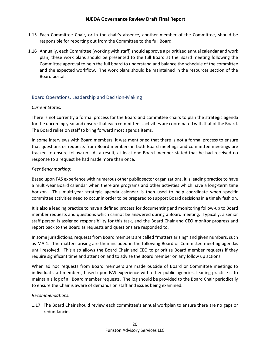- 1.15 Each Committee Chair, or in the chair's absence, another member of the Committee, should be responsible for reporting out from the Committee to the full Board.
- 1.16 Annually, each Committee (working with staff) should approve a prioritized annual calendar and work plan; these work plans should be presented to the full Board at the Board meeting following the Committee approval to help the full board to understand and balance the schedule of the committee and the expected workflow. The work plans should be maintained in the resources section of the Board portal.

#### <span id="page-21-0"></span>Board Operations, Leadership and Decision-Making

#### *Current Status:*

There is not currently a formal process for the Board and committee chairs to plan the strategic agenda for the upcoming year and ensure that each committee's activities are coordinated with that of the Board. The Board relies on staff to bring forward most agenda items.

In some interviews with Board members, it was mentioned that there is not a formal process to ensure that questions or requests from Board members in both Board meetings and committee meetings are tracked to ensure follow-up. As a result, at least one Board member stated that he had received no response to a request he had made more than once.

#### *Peer Benchmarking:*

Based upon FAS experience with numerous other public sector organizations, it is leading practice to have a multi-year Board calendar when there are programs and other activities which have a long-term time horizon. This multi-year strategic agenda calendar is then used to help coordinate when specific committee activities need to occur in order to be prepared to support Board decisions in a timely fashion.

It is also a leading practice to have a defined process for documenting and monitoring follow-up to Board member requests and questions which cannot be answered during a Board meeting. Typically, a senior staff person is assigned responsibility for this task, and the Board Chair and CEO monitor progress and report back to the Board as requests and questions are responded to.

In some jurisdictions, requests from Board members are called "matters arising" and given numbers, such as MA 1. The matters arising are then included in the following Board or Committee meeting agendas until resolved. This also allows the Board Chair and CEO to prioritize Board member requests if they require significant time and attention and to advise the Board member on any follow up actions.

When ad hoc requests from Board members are made outside of Board or Committee meetings to individual staff members, based upon FAS experience with other public agencies, leading practice is to maintain a log of all Board member requests. The log should be provided to the Board Chair periodically to ensure the Chair is aware of demands on staff and issues being examined.

#### *Recommendations:*

1.17 The Board Chair should review each committee's annual workplan to ensure there are no gaps or redundancies.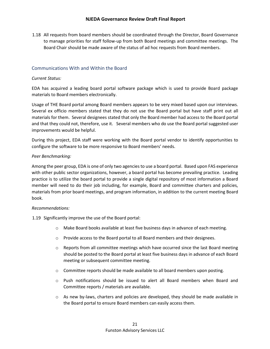1.18 All requests from board members should be coordinated through the Director, Board Governance to manage priorities for staff follow-up from both Board meetings and committee meetings. The Board Chair should be made aware of the status of ad hoc requests from Board members.

#### <span id="page-22-0"></span>Communications With and Within the Board

#### *Current Status:*

EDA has acquired a leading board portal software package which is used to provide Board package materials to Board members electronically.

Usage of THE Board portal among Board members appears to be very mixed based upon our interviews. Several ex officio members stated that they do not use the Board portal but have staff print out all materials for them. Several designees stated that only the Board member had access to the Board portal and that they could not, therefore, use it. Several members who do use the Board portal suggested user improvements would be helpful.

During this project, EDA staff were working with the Board portal vendor to identify opportunities to configure the software to be more responsive to Board members' needs.

#### *Peer Benchmarking:*

Among the peer group, EDA is one of only two agencies to use a board portal. Based upon FAS experience with other public sector organizations, however, a board portal has become prevailing practice. Leading practice is to utilize the board portal to provide a single digital repository of most information a Board member will need to do their job including, for example, Board and committee charters and policies, materials from prior board meetings, and program information, in addition to the current meeting Board book.

#### *Recommendations:*

1.19 Significantly improve the use of the Board portal:

- $\circ$  Make Board books available at least five business days in advance of each meeting.
- $\circ$  Provide access to the Board portal to all Board members and their designees.
- $\circ$  Reports from all committee meetings which have occurred since the last Board meeting should be posted to the Board portal at least five business days in advance of each Board meeting or subsequent committee meeting.
- $\circ$  Committee reports should be made available to all board members upon posting.
- $\circ$  Push notifications should be issued to alert all Board members when Board and Committee reports / materials are available.
- o As new by-laws, charters and policies are developed, they should be made available in the Board portal to ensure Board members can easily access them.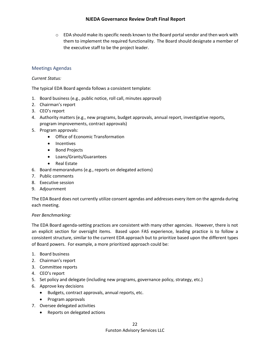$\circ$  EDA should make its specific needs known to the Board portal vendor and then work with them to implement the required functionality. The Board should designate a member of the executive staff to be the project leader.

#### <span id="page-23-0"></span>Meetings Agendas

#### *Current Status:*

The typical EDA Board agenda follows a consistent template:

- 1. Board business (e.g., public notice, roll call, minutes approval)
- 2. Chairman's report
- 3. CEO's report
- 4. Authority matters (e.g., new programs, budget approvals, annual report, investigative reports, program improvements, contract approvals)
- 5. Program approvals:
	- Office of Economic Transformation
	- Incentives
	- Bond Projects
	- Loans/Grants/Guarantees
	- Real Estate
- 6. Board memorandums (e.g., reports on delegated actions)
- 7. Public comments
- 8. Executive session
- 9. Adjournment

The EDA Board does not currently utilize consent agendas and addresses every item on the agenda during each meeting.

#### *Peer Benchmarking:*

The EDA Board agenda-setting practices are consistent with many other agencies. However, there is not an explicit section for oversight items. Based upon FAS experience, leading practice is to follow a consistent structure, similar to the current EDA approach but to prioritize based upon the different types of Board powers. For example, a more prioritized approach could be:

- 1. Board business
- 2. Chairman's report
- 3. Committee reports
- 4. CEO's report
- 5. Set policy and delegate (including new programs, governance policy, strategy, etc.)
- 6. Approve key decisions
	- Budgets, contract approvals, annual reports, etc.
	- Program approvals
- 7. Oversee delegated activities
	- Reports on delegated actions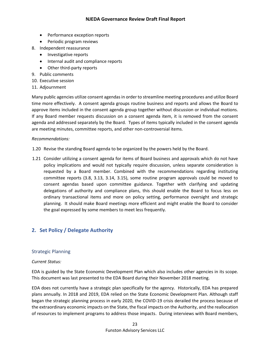- Performance exception reports
- Periodic program reviews
- 8. Independent reassurance
	- Investigative reports
	- Internal audit and compliance reports
	- Other third-party reports
- 9. Public comments
- 10. Executive session
- 11. Adjournment

Many public agencies utilize consent agendas in order to streamline meeting procedures and utilize Board time more effectively. A consent agenda groups routine business and reports and allows the Board to approve items included in the consent agenda group together without discussion or individual motions. If any Board member requests discussion on a consent agenda item, it is removed from the consent agenda and addressed separately by the Board. Types of items typically included in the consent agenda are meeting minutes, committee reports, and other non-controversial items.

#### *Recommendations:*

- 1.20 Revise the standing Board agenda to be organized by the powers held by the Board.
- 1.21 Consider utilizing a consent agenda for items of Board business and approvals which do not have policy implications and would not typically require discussion, unless separate consideration is requested by a Board member. Combined with the recommendations regarding instituting committee reports (3.8, 3.13, 3.14, 3.15), some routine program approvals could be moved to consent agendas based upon committee guidance. Together with clarifying and updating delegations of authority and compliance plans, this should enable the Board to focus less on ordinary transactional items and more on policy setting, performance oversight and strategic planning. It should make Board meetings more efficient and might enable the Board to consider the goal expressed by some members to meet less frequently.

#### <span id="page-24-0"></span>**2. Set Policy / Delegate Authority**

#### <span id="page-24-1"></span>Strategic Planning

#### *Current Status:*

EDA is guided by the State Economic Development Plan which also includes other agencies in its scope. This document was last presented to the EDA Board during their November 2018 meeting.

EDA does not currently have a strategic plan specifically for the agency. Historically, EDA has prepared plans annually. In 2018 and 2019, EDA relied on the State Economic Development Plan. Although staff began the strategic planning process in early 2020, the COVID-19 crisis derailed the process because of the extraordinary economic impacts on the State, the fiscal impacts on the Authority, and the reallocation of resources to implement programs to address those impacts. During interviews with Board members,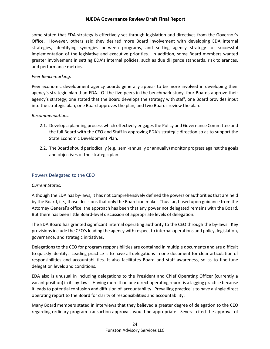some stated that EDA strategy is effectively set through legislation and directives from the Governor's Office. However, others said they desired more Board involvement with developing EDA internal strategies, identifying synergies between programs, and setting agency strategy for successful implementation of the legislative and executive priorities. In addition, some Board members wanted greater involvement in setting EDA's internal policies, such as due diligence standards, risk tolerances, and performance metrics.

#### *Peer Benchmarking:*

Peer economic development agency boards generally appear to be more involved in developing their agency's strategic plan than EDA. Of the five peers in the benchmark study, four Boards approve their agency's strategy; one stated that the Board develops the strategy with staff, one Board provides input into the strategic plan, one Board approves the plan, and two Boards review the plan.

#### *Recommendations:*

- 2.1. Develop a planning process which effectively engages the Policy and Governance Committee and the full Board with the CEO and Staff in approving EDA's strategic direction so as to support the State Economic Development Plan.
- 2.2. The Board should periodically (e.g., semi-annually or annually) monitor progress against the goals and objectives of the strategic plan.

#### <span id="page-25-0"></span>Powers Delegated to the CEO

#### *Current Status:*

Although the EDA has by-laws, it has not comprehensively defined the powers or authorities that are held by the Board, i.e., those decisions that only the Board can make. Thus far, based upon guidance from the Attorney General's office, the approach has been that any power not delegated remains with the Board. But there has been little Board-level discussion of appropriate levels of delegation.

The EDA Board has granted significant internal operating authority to the CEO through the by-laws. Key provisions include the CEO's leading the agency with respect to internal operations and policy, legislation, governance, and strategic initiatives.

Delegations to the CEO for program responsibilities are contained in multiple documents and are difficult to quickly identify. Leading practice is to have all delegations in one document for clear articulation of responsibilities and accountabilities. It also facilitates Board and staff awareness, so as to fine-tune delegation levels and conditions.

EDA also is unusual in including delegations to the President and Chief Operating Officer (currently a vacant position) in its by-laws. Having more than one direct operating report is a lagging practice because it leads to potential confusion and diffusion of accountability. Prevailing practice is to have a single direct operating report to the Board for clarity of responsibilities and accountability.

Many Board members stated in interviews that they believed a greater degree of delegation to the CEO regarding ordinary program transaction approvals would be appropriate. Several cited the approval of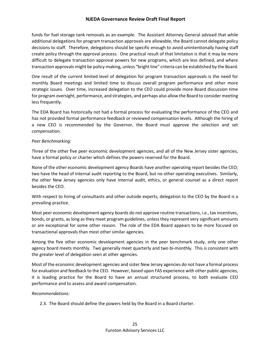funds for fuel storage tank removals as an example. The Assistant Attorney General advised that while additional delegations for program transaction approvals are allowable, the Board cannot delegate policy decisions to staff. Therefore, delegations should be specific enough to avoid unintentionally having staff create policy through the approval process. One practical result of that limitation is that it may be more difficult to delegate transaction approval powers for new programs, which are less defined, and where transaction approvals might be policy-making, unless "bright line" criteria can be established by the Board.

One result of the current limited level of delegation for program transaction approvals is the need for monthly Board meetings and limited time to discuss overall program performance and other more strategic issues. Over time, increased delegation to the CEO could provide more Board discussion time for program oversight, performance, and strategies, and perhaps also allow the Board to consider meeting less frequently.

The EDA Board has historically not had a formal process for evaluating the performance of the CEO and has not provided formal performance feedback or reviewed compensation levels. Although the hiring of a new CEO is recommended by the Governor, the Board must approve the selection and set compensation.

#### *Peer Benchmarking:*

Three of the other five peer economic development agencies, and all of the New Jersey sister agencies, have a formal policy or charter which defines the powers reserved for the Board.

None of the other economic development agency Boards have another operating report besides the CEO; two have the head of internal audit reporting to the Board, but no other operating executives. Similarly, the other New Jersey agencies only have internal audit, ethics, or general counsel as a direct report besides the CEO.

With respect to hiring of consultants and other outside experts, delegation to the CEO by the Board is a prevailing practice.

Most peer economic development agency boards do not approve routine transactions, i.e., tax incentives, bonds, or grants, as long as they meet program guidelines, unless they represent very significant amounts or are exceptional for some other reason. The role of the EDA Board appears to be more focused on transactional approvals than most other similar agencies.

Among the five other economic development agencies in the peer benchmark study, only one other agency board meets monthly. Two generally meet quarterly and two bi-monthly. This is consistent with the greater level of delegation seen at other agencies.

Most of the economic development agencies and sister New Jersey agencies do not have a formal process for evaluation and feedback to the CEO. However, based upon FAS experience with other public agencies, it is leading practice for the Board to have an annual structured process, to both evaluate CEO performance and to assess and award compensation.

#### *Recommendations:*

2.3. The Board should define the powers held by the Board in a Board charter.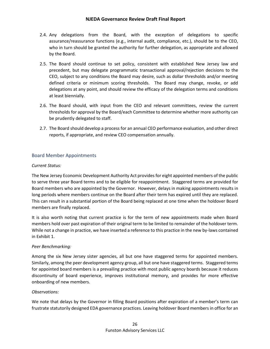- 2.4. Any delegations from the Board, with the exception of delegations to specific assurance/reassurance functions (e.g., internal audit, compliance, etc.), should be to the CEO, who in turn should be granted the authority for further delegation, as appropriate and allowed by the Board.
- 2.5. The Board should continue to set policy, consistent with established New Jersey law and precedent, but may delegate programmatic transactional approval/rejection decisions to the CEO, subject to any conditions the Board may desire, such as dollar thresholds and/or meeting defined criteria or minimum scoring thresholds. The Board may change, revoke, or add delegations at any point, and should review the efficacy of the delegation terms and conditions at least biennially.
- 2.6. The Board should, with input from the CEO and relevant committees, review the current thresholds for approval by the Board/each Committee to determine whether more authority can be prudently delegated to staff.
- 2.7. The Board should develop a process for an annual CEO performance evaluation, and other direct reports, if appropriate, and review CEO compensation annually.

#### <span id="page-27-0"></span>Board Member Appointments

#### *Current Status:*

The New Jersey Economic Development Authority Act provides for eight appointed members of the public to serve three year Board terms and to be eligible for reappointment. Staggered terms are provided for Board members who are appointed by the Governor. However, delays in making appointments results in long periods where members continue on the Board after their term has expired until they are replaced. This can result in a substantial portion of the Board being replaced at one time when the holdover Board members are finally replaced.

It is also worth noting that current practice is for the term of new appointments made when Board members hold over past expiration of their original term to be limited to remainder of the holdover term. While not a change in practice, we have inserted a reference to this practice in the new by-laws contained in Exhibit 1.

#### *Peer Benchmarking:*

Among the six New Jersey sister agencies, all but one have staggered terms for appointed members. Similarly, among the peer development agency group, all but one have staggered terms. Staggered terms for appointed board members is a prevailing practice with most public agency boards because it reduces discontinuity of board experience, improves institutional memory, and provides for more effective onboarding of new members.

#### *Observations:*

We note that delays by the Governor in filling Board positions after expiration of a member's term can frustrate statutorily designed EDA governance practices. Leaving holdover Board members in office for an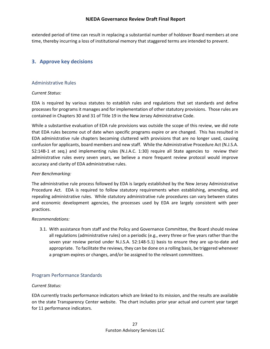extended period of time can result in replacing a substantial number of holdover Board members at one time, thereby incurring a loss of institutional memory that staggered terms are intended to prevent.

#### <span id="page-28-0"></span>**3. Approve key decisions**

#### <span id="page-28-1"></span>Administrative Rules

#### *Current Status:*

EDA is required by various statutes to establish rules and regulations that set standards and define processes for programs it manages and for implementation of other statutory provisions. Those rules are contained in Chapters 30 and 31 of Title 19 in the New Jersey Administrative Code.

While a substantive evaluation of EDA rule provisions was outside the scope of this review, we did note that EDA rules become out of date when specific programs expire or are changed. This has resulted in EDA administrative rule chapters becoming cluttered with provisions that are no longer used, causing confusion for applicants, board members and new staff. While the Administrative Procedure Act (N.J.S.A. 52:14B-1 et seq.) and implementing rules (N.J.A.C. 1:30) require all State agencies to review their administrative rules every seven years, we believe a more frequent review protocol would improve accuracy and clarity of EDA administrative rules.

#### *Peer Benchmarking:*

The administrative rule process followed by EDA is largely established by the New Jersey Administrative Procedure Act. EDA is required to follow statutory requirements when establishing, amending, and repealing administrative rules. While statutory administrative rule procedures can vary between states and economic development agencies, the processes used by EDA are largely consistent with peer practices.

#### *Recommendations:*

3.1. With assistance from staff and the Policy and Governance Committee, the Board should review all regulations (administrative rules) on a periodic (e.g., every three or five years rather than the seven year review period under N.J.S.A. 52:148-5.1) basis to ensure they are up-to-date and appropriate. To facilitate the reviews, they can be done on a rolling basis, be triggered whenever a program expires or changes, and/or be assigned to the relevant committees.

#### <span id="page-28-2"></span>Program Performance Standards

#### *Current Status:*

EDA currently tracks performance indicators which are linked to its mission, and the results are available on the state Transparency Center website. The chart includes prior year actual and current year target for 11 performance indicators.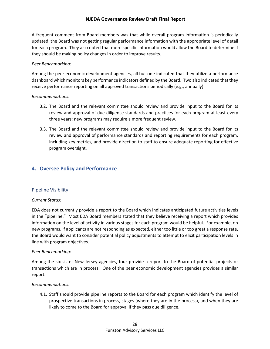A frequent comment from Board members was that while overall program information is periodically updated, the Board was not getting regular performance information with the appropriate level of detail for each program. They also noted that more specific information would allow the Board to determine if they should be making policy changes in order to improve results.

#### *Peer Benchmarking:*

Among the peer economic development agencies, all but one indicated that they utilize a performance dashboard which monitors key performance indicators defined by the Board. Two also indicated that they receive performance reporting on all approved transactions periodically (e.g., annually).

#### *Recommendations:*

- 3.2. The Board and the relevant committee should review and provide input to the Board for its review and approval of due diligence standards and practices for each program at least every three years; new programs may require a more frequent review.
- 3.3. The Board and the relevant committee should review and provide input to the Board for its review and approval of performance standards and reporting requirements for each program, including key metrics, and provide direction to staff to ensure adequate reporting for effective program oversight.

### <span id="page-29-0"></span>**4. Oversee Policy and Performance**

#### <span id="page-29-1"></span>Pipeline Visibility

#### *Current Status:*

EDA does not currently provide a report to the Board which indicates anticipated future activities levels in the "pipeline." Most EDA Board members stated that they believe receiving a report which provides information on the level of activity in various stages for each program would be helpful. For example, on new programs, if applicants are not responding as expected, either too little or too great a response rate, the Board would want to consider potential policy adjustments to attempt to elicit participation levels in line with program objectives.

#### *Peer Benchmarking:*

Among the six sister New Jersey agencies, four provide a report to the Board of potential projects or transactions which are in process. One of the peer economic development agencies provides a similar report.

#### *Recommendations:*

4.1. Staff should provide pipeline reports to the Board for each program which identify the level of prospective transactions in process, stages (where they are in the process), and when they are likely to come to the Board for approval if they pass due diligence.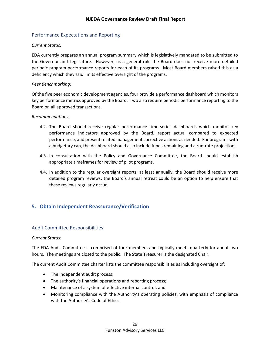#### <span id="page-30-0"></span>Performance Expectations and Reporting

#### *Current Status:*

EDA currently prepares an annual program summary which is legislatively mandated to be submitted to the Governor and Legislature. However, as a general rule the Board does not receive more detailed periodic program performance reports for each of its programs. Most Board members raised this as a deficiency which they said limits effective oversight of the programs.

#### *Peer Benchmarking:*

Of the five peer economic development agencies, four provide a performance dashboard which monitors key performance metrics approved by the Board. Two also require periodic performance reporting to the Board on all approved transactions.

#### *Recommendations:*

- 4.2. The Board should receive regular performance time-series dashboards which monitor key performance indicators approved by the Board, report actual compared to expected performance, and present related management corrective actions as needed. For programs with a budgetary cap, the dashboard should also include funds remaining and a run-rate projection.
- 4.3. In consultation with the Policy and Governance Committee, the Board should establish appropriate timeframes for review of pilot programs.
- 4.4. In addition to the regular oversight reports, at least annually, the Board should receive more detailed program reviews; the Board's annual retreat could be an option to help ensure that these reviews regularly occur.

#### <span id="page-30-1"></span>**5. Obtain Independent Reassurance/Verification**

#### <span id="page-30-2"></span>Audit Committee Responsibilities

#### *Current Status:*

The EDA Audit Committee is comprised of four members and typically meets quarterly for about two hours. The meetings are closed to the public. The State Treasurer is the designated Chair.

The current Audit Committee charter lists the committee responsibilities as including oversight of:

- The independent audit process;
- The authority's financial operations and reporting process;
- Maintenance of a system of effective internal control; and
- Monitoring compliance with the Authority's operating policies, with emphasis of compliance with the Authority's Code of Ethics.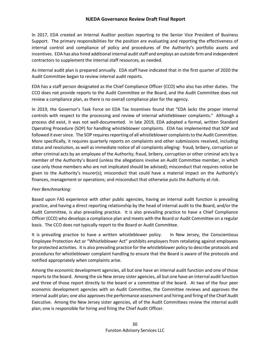In 2017, EDA created an Internal Auditor position reporting to the Senior Vice President of Business Support. The primary responsibilities for the position are evaluating and reporting the effectiveness of internal control and compliance of policy and procedures of the Authority's portfolio assets and incentives. EDA has also hired additional internal audit staff and employs an outside firm and independent contractors to supplement the internal staff resources, as needed.

As internal audit plan is prepared annually. EDA staff have indicated that in the first quarter of 2020 the Audit Committee began to review internal audit reports.

EDA has a staff person designated as the Chief Compliance Officer (CCO) who also has other duties. The CCO does not provide reports to the Audit Committee or the Board, and the Audit Committee does not review a compliance plan, as there is no overall compliance plan for the agency.

In 2019, the Governor's Task Force on EDA Tax Incentives found that "EDA lacks the proper internal controls with respect to the processing and review of internal whistleblower complaints." Although a process did exist, it was not well-documented. In late 2019, EDA adopted a formal, written Standard Operating Procedure (SOP) for handling whistleblower complaints. EDA has implemented that SOP and followed it ever since. The SOP requires reporting of all whistleblower complaints to the Audit Committee. More specifically, it requires quarterly reports on complaints and other submissions received, including status and resolution, as well as immediate notice of all complaints alleging: fraud, bribery, corruption or other criminal acts by an employee of the Authority; fraud, bribery, corruption or other criminal acts by a member of the Authority's Board (unless the allegations involve an Audit Committee member, in which case only those members who are not implicated should be advised); misconduct that requires notice be given to the Authority's insurer(s); misconduct that could have a material impact on the Authority's finances, management or operations; and misconduct that otherwise puts the Authority at risk.

#### *Peer Benchmarking:*

Based upon FAS experience with other public agencies, having an internal audit function is prevailing practice, and having a direct reporting relationship by the head of internal audit to the Board, and/or the Audit Committee, is also prevailing practice. It is also prevailing practice to have a Chief Compliance Officer (CCO) who develops a compliance plan and meets with the Board or Audit Committee on a regular basis. The CCO does not typically report to the Board or Audit Committee.

It is prevailing practice to have a written whistleblower policy. In New Jersey, the Conscientious Employee Protection Act or "Whistleblower Act" prohibits employers from retaliating against employees for protected activities. It is also prevailing practice for the whistleblower policy to describe protocols and procedures for whistleblower complaint handling to ensure that the Board is aware of the protocols and notified appropriately when complaints arise.

Among the economic development agencies, all but one have an internal audit function and one of those reports to the board. Among the six New Jersey sister agencies, all but one have an internal audit function and three of those report directly to the board or a committee of the board. At two of the four peer economic development agencies with an Audit Committee, the Committee reviews and approves the internal audit plan; one also approves the performance assessment and hiring and firing of the Chief Audit Executive. Among the New Jersey sister agencies, all of the Audit Committees review the internal audit plan; one is responsible for hiring and firing the Chief Audit Officer.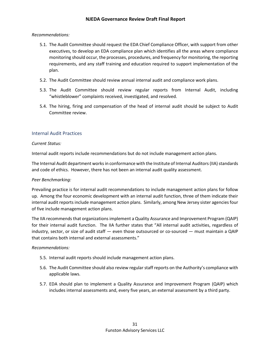#### *Recommendations:*

- 5.1. The Audit Committee should request the EDA Chief Compliance Officer, with support from other executives, to develop an EDA compliance plan which identifies all the areas where compliance monitoring should occur, the processes, procedures, and frequency for monitoring, the reporting requirements, and any staff training and education required to support implementation of the plan.
- 5.2. The Audit Committee should review annual internal audit and compliance work plans.
- 5.3. The Audit Committee should review regular reports from Internal Audit, including "whistleblower" complaints received, investigated, and resolved.
- 5.4. The hiring, firing and compensation of the head of internal audit should be subject to Audit Committee review.

#### <span id="page-32-0"></span>Internal Audit Practices

#### *Current Status:*

Internal audit reports include recommendations but do not include management action plans.

The Internal Audit department works in conformance with the Institute of Internal Auditors (IIA) standards and code of ethics. However, there has not been an internal audit quality assessment.

#### *Peer Benchmarking:*

Prevailing practice is for internal audit recommendations to include management action plans for follow up. Among the four economic development with an internal audit function, three of them indicate their internal audit reports include management action plans. Similarly, among New Jersey sister agencies four of five include management action plans.

The IIA recommends that organizations implement a Quality Assurance and Improvement Program (QAIP) for their internal audit function. The IIA further states that "All internal audit activities, regardless of industry, sector, or size of audit staff — even those outsourced or co-sourced — must maintain a QAIP that contains both internal and external assessments."

#### *Recommendations:*

- 5.5. Internal audit reports should include management action plans.
- 5.6. The Audit Committee should also review regular staff reports on the Authority's compliance with applicable laws.
- 5.7. EDA should plan to implement a Quality Assurance and Improvement Program (QAIP) which includes internal assessments and, every five years, an external assessment by a third party.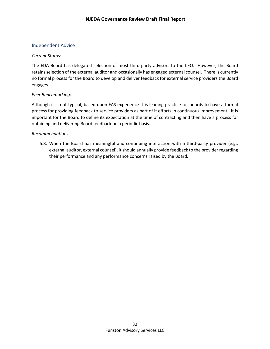#### <span id="page-33-0"></span>Independent Advice

#### *Current Status:*

The EDA Board has delegated selection of most third-party advisors to the CEO. However, the Board retains selection of the external auditor and occasionally has engaged external counsel. There is currently no formal process for the Board to develop and deliver feedback for external service providers the Board engages.

#### *Peer Benchmarking:*

Although it is not typical, based upon FAS experience it is leading practice for boards to have a formal process for providing feedback to service providers as part of it efforts in continuous improvement. It is important for the Board to define its expectation at the time of contracting and then have a process for obtaining and delivering Board feedback on a periodic basis.

#### *Recommendations:*

<span id="page-33-1"></span>5.8. When the Board has meaningful and continuing interaction with a third-party provider (e.g., external auditor, external counsel), it should annually provide feedback to the provider regarding their performance and any performance concerns raised by the Board.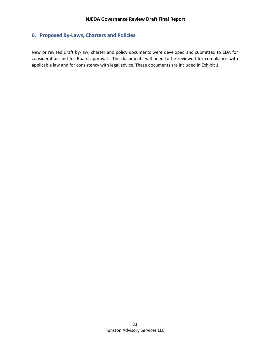#### **6. Proposed By-Laws, Charters and Policies**

New or revised draft by-law, charter and policy documents were developed and submitted to EDA for consideration and for Board approval. The documents will need to be reviewed for compliance with applicable law and for consistency with legal advice. These documents are included in Exhibit 1.